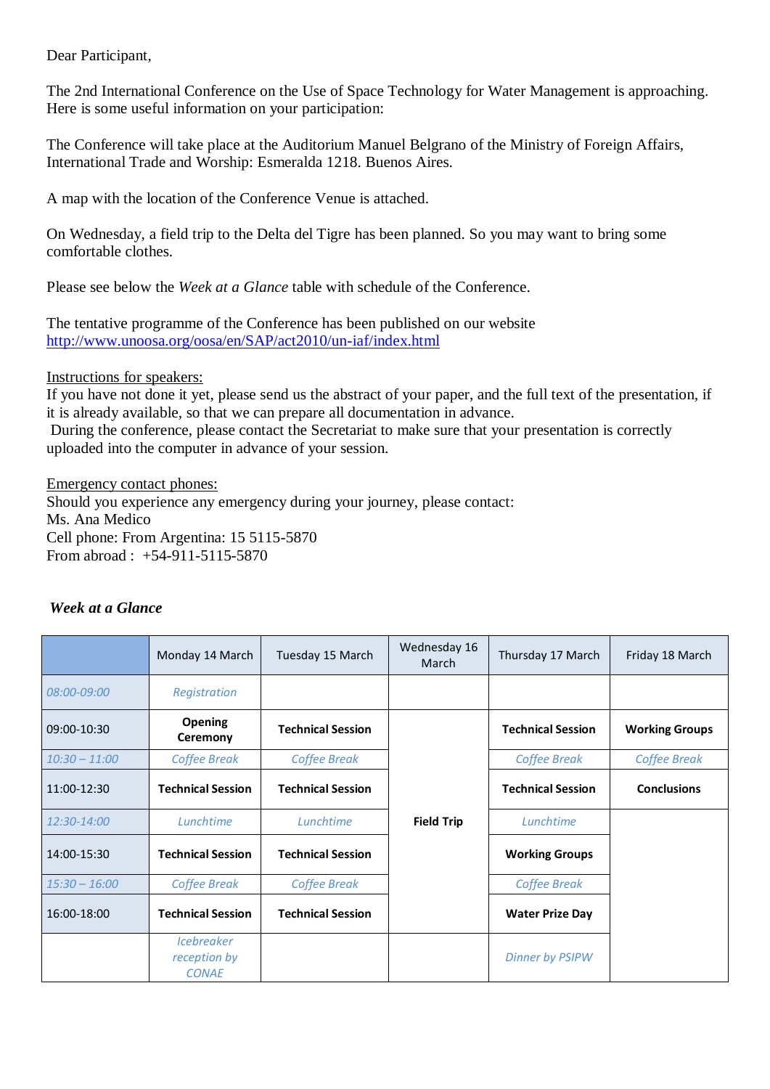Dear Participant,

The 2nd International Conference on the Use of Space Technology for Water Management is approaching. Here is some useful information on your participation:

The Conference will take place at the Auditorium Manuel Belgrano of the Ministry of Foreign Affairs, International Trade and Worship: Esmeralda 1218. Buenos Aires.

A map with the location of the Conference Venue is attached.

On Wednesday, a field trip to the Delta del Tigre has been planned. So you may want to bring some comfortable clothes.

Please see below the *Week at a Glance* table with schedule of the Conference.

The tentative programme of the Conference has been published on our website <http://www.unoosa.org/oosa/en/SAP/act2010/un-iaf/index.html>

Instructions for speakers:

If you have not done it yet, please send us the abstract of your paper, and the full text of the presentation, if it is already available, so that we can prepare all documentation in advance.

During the conference, please contact the Secretariat to make sure that your presentation is correctly uploaded into the computer in advance of your session.

Emergency contact phones:

Should you experience any emergency during your journey, please contact: Ms. Ana Medico Cell phone: From Argentina: 15 5115-5870 From abroad : +54-911-5115-5870

|                 | Monday 14 March                                                 | Tuesday 15 March         | Wednesday 16<br>March | Thursday 17 March        | Friday 18 March       |
|-----------------|-----------------------------------------------------------------|--------------------------|-----------------------|--------------------------|-----------------------|
| 08:00-09:00     | Registration                                                    |                          |                       |                          |                       |
| 09:00-10:30     | <b>Opening</b><br>Ceremony                                      | <b>Technical Session</b> |                       | <b>Technical Session</b> | <b>Working Groups</b> |
| $10:30 - 11:00$ | <b>Coffee Break</b>                                             | <b>Coffee Break</b>      |                       | <b>Coffee Break</b>      | <b>Coffee Break</b>   |
| 11:00-12:30     | <b>Technical Session</b>                                        | <b>Technical Session</b> |                       | <b>Technical Session</b> | <b>Conclusions</b>    |
| 12:30-14:00     | Lunchtime                                                       | Lunchtime                | <b>Field Trip</b>     | Lunchtime                |                       |
| 14:00-15:30     | <b>Technical Session</b>                                        | <b>Technical Session</b> |                       | <b>Working Groups</b>    |                       |
| $15:30 - 16:00$ | <b>Coffee Break</b>                                             | <b>Coffee Break</b>      |                       | <b>Coffee Break</b>      |                       |
| 16:00-18:00     | <b>Technical Session</b>                                        | <b>Technical Session</b> |                       | <b>Water Prize Day</b>   |                       |
|                 | <i><u><b>Icebreaker</b></u></i><br>reception by<br><b>CONAE</b> |                          |                       | <b>Dinner by PSIPW</b>   |                       |